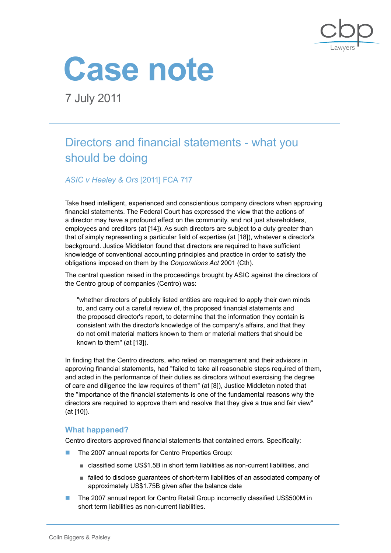



7 July 2011

# Directors and financial statements - what you should be doing

*ASIC v Healey & Ors* [2011] FCA 717

Take heed intelligent, experienced and conscientious company directors when approving financial statements. The Federal Court has expressed the view that the actions of a director may have a profound effect on the community, and not just shareholders, employees and creditors (at [14]). As such directors are subject to a duty greater than that of simply representing a particular field of expertise (at [18]), whatever a director's background. Justice Middleton found that directors are required to have sufficient knowledge of conventional accounting principles and practice in order to satisfy the obligations imposed on them by the *Corporations Act* 2001 (Cth).

The central question raised in the proceedings brought by ASIC against the directors of the Centro group of companies (Centro) was:

"whether directors of publicly listed entities are required to apply their own minds to, and carry out a careful review of, the proposed financial statements and the proposed director's report, to determine that the information they contain is consistent with the director's knowledge of the company's affairs, and that they do not omit material matters known to them or material matters that should be known to them" (at [13]).

In finding that the Centro directors, who relied on management and their advisors in approving financial statements, had "failed to take all reasonable steps required of them, and acted in the performance of their duties as directors without exercising the degree of care and diligence the law requires of them" (at [8]), Justice Middleton noted that the "importance of the financial statements is one of the fundamental reasons why the directors are required to approve them and resolve that they give a true and fair view" (at [10]).

## **What happened?**

Centro directors approved financial statements that contained errors. Specifically:

- The 2007 annual reports for Centro Properties Group:
	- classified some US\$1.5B in short term liabilities as non-current liabilities, and
	- failed to disclose guarantees of short-term liabilities of an associated company of approximately US\$1.75B given after the balance date
- The 2007 annual report for Centro Retail Group incorrectly classified US\$500M in short term liabilities as non-current liabilities.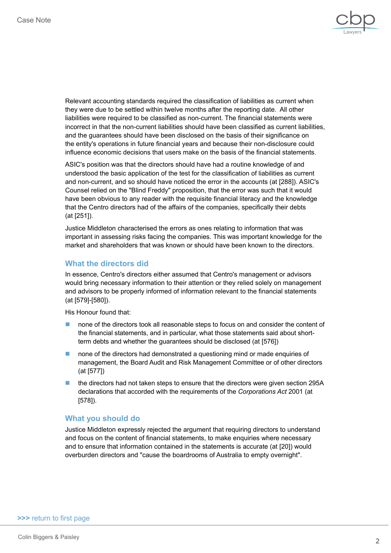

Relevant accounting standards required the classification of liabilities as current when they were due to be settled within twelve months after the reporting date. All other liabilities were required to be classified as non-current. The financial statements were incorrect in that the non-current liabilities should have been classified as current liabilities, and the guarantees should have been disclosed on the basis of their significance on the entity's operations in future financial years and because their non-disclosure could influence economic decisions that users make on the basis of the financial statements.

ASIC's position was that the directors should have had a routine knowledge of and understood the basic application of the test for the classification of liabilities as current and non-current, and so should have noticed the error in the accounts (at [288]). ASIC's Counsel relied on the "Blind Freddy" proposition, that the error was such that it would have been obvious to any reader with the requisite financial literacy and the knowledge that the Centro directors had of the affairs of the companies, specifically their debts (at [251]).

Justice Middleton characterised the errors as ones relating to information that was important in assessing risks facing the companies. This was important knowledge for the market and shareholders that was known or should have been known to the directors.

### **What the directors did**

In essence, Centro's directors either assumed that Centro's management or advisors would bring necessary information to their attention or they relied solely on management and advisors to be properly informed of information relevant to the financial statements (at [579]-[580]).

His Honour found that:

- none of the directors took all reasonable steps to focus on and consider the content of the financial statements, and in particular, what those statements said about shortterm debts and whether the guarantees should be disclosed (at [576])
- none of the directors had demonstrated a questioning mind or made enquiries of management, the Board Audit and Risk Management Committee or of other directors (at [577])
- the directors had not taken steps to ensure that the directors were given section 295A declarations that accorded with the requirements of the *Corporations Act* 2001 (at [578]).

#### **What you should do**

Justice Middleton expressly rejected the argument that requiring directors to understand and focus on the content of financial statements, to make enquiries where necessary and to ensure that information contained in the statements is accurate (at [20]) would overburden directors and "cause the boardrooms of Australia to empty overnight".